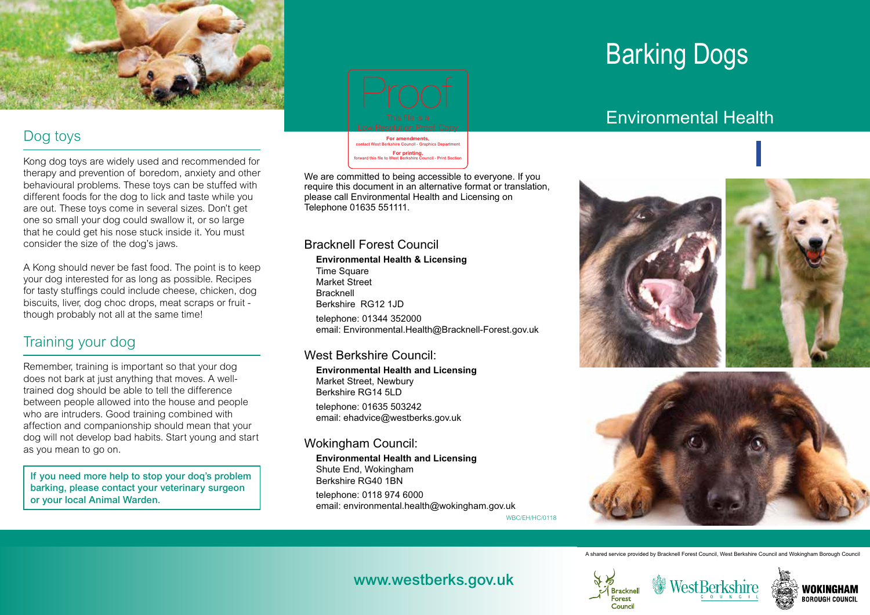

### Dog toys

Kong dog toys are widely used and recommended for therapy and prevention of boredom, anxiety and other behavioural problems. These toys can be stuffed with different foods for the dog to lick and taste while you are out. These toys come in several sizes. Don't get one so small your dog could swallow it, or so large that he could get his nose stuck inside it. You must consider the size of the dog's jaws.

A Kong should never be fast food. The point is to keep your dog interested for as long as possible. Recipes for tasty stuffings could include cheese, chicken, dog biscuits, liver, dog choc drops, meat scraps or fruit though probably not all at the same time!

## Training your dog

Remember, training is important so that your dog does not bark at just anything that moves. A welltrained dog should be able to tell the difference between people allowed into the house and people who are intruders. Good training combined with affection and companionship should mean that your dog will not develop bad habits. Start young and start as you mean to go on.

If you need more help to stop your doq's problem barking, please contact your veterinary surgeon or your local Animal Warden.



**For printing,** forward this file to West Berkshire Council - Print Section

We are committed to being accessible to everyone. If you require this document in an alternative format or translation, please call Environmental Health and Licensing on Telephone 01635 551111.

### Bracknell Forest Council

**Environmental Health & Licensing**  Time Square Market Street Bracknell Berkshire RG12 1JD telephone: 01344 352000 email: Environmental.Health@Bracknell-Forest.gov.uk west the main of the contact West Berkshire Council -<br>the main of the contact Perkshire Council - Perkshire Council - Perkshire Council - All Environmental Health and Licensing on<br>19635 551111.<br>III Forest Council - Graphic

### West Berkshire Council:

**Environmental Health and Licensing**  Market Street, Newbury Berkshire RG14 5LD telephone: 01635 503242 email: ehadvice@westberks.gov.uk

### Wokingham Council:

**Environmental Health and Licensing**  Shute End, Wokingham Berkshire RG40 1BN telephone: 0118 974 6000 email: environmental.health@wokingham.gov.uk

WBC/EH/HC/0118

# Barking Dogs

# Environmental Health



**Public Protection** Bracknell Forest



A shared service provided by Bracknell Forest Council, West Berkshire Council and Wokingham Borough Council